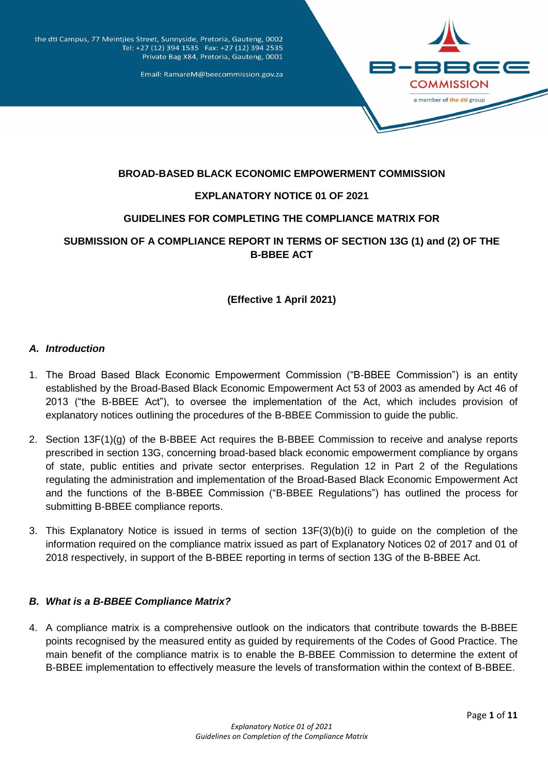

the dti Campus, 77 Meintjies Street, Sunnyside, Pretoria, Gauteng, 0002 Tel: +27 (12) 394 1535 Fax: +27 (12) 394 2535 Private Bag X84, Pretoria, Gauteng, 0001

Email: RamareM@beecommission.gov.za

### **BROAD-BASED BLACK ECONOMIC EMPOWERMENT COMMISSION**

## **EXPLANATORY NOTICE 01 OF 2021**

## **GUIDELINES FOR COMPLETING THE COMPLIANCE MATRIX FOR**

# **SUBMISSION OF A COMPLIANCE REPORT IN TERMS OF SECTION 13G (1) and (2) OF THE B-BBEE ACT**

**(Effective 1 April 2021)**

## *A. Introduction*

- 1. The Broad Based Black Economic Empowerment Commission ("B-BBEE Commission") is an entity established by the Broad-Based Black Economic Empowerment Act 53 of 2003 as amended by Act 46 of 2013 ("the B-BBEE Act"), to oversee the implementation of the Act, which includes provision of explanatory notices outlining the procedures of the B-BBEE Commission to guide the public.
- 2. Section 13F(1)(g) of the B-BBEE Act requires the B-BBEE Commission to receive and analyse reports prescribed in section 13G, concerning broad-based black economic empowerment compliance by organs of state, public entities and private sector enterprises. Regulation 12 in Part 2 of the Regulations regulating the administration and implementation of the Broad-Based Black Economic Empowerment Act and the functions of the B-BBEE Commission ("B-BBEE Regulations") has outlined the process for submitting B-BBEE compliance reports.
- 3. This Explanatory Notice is issued in terms of section 13F(3)(b)(i) to guide on the completion of the information required on the compliance matrix issued as part of Explanatory Notices 02 of 2017 and 01 of 2018 respectively, in support of the B-BBEE reporting in terms of section 13G of the B-BBEE Act.

### *B. What is a B-BBEE Compliance Matrix?*

4. A compliance matrix is a comprehensive outlook on the indicators that contribute towards the B-BBEE points recognised by the measured entity as guided by requirements of the Codes of Good Practice. The main benefit of the compliance matrix is to enable the B-BBEE Commission to determine the extent of B-BBEE implementation to effectively measure the levels of transformation within the context of B-BBEE.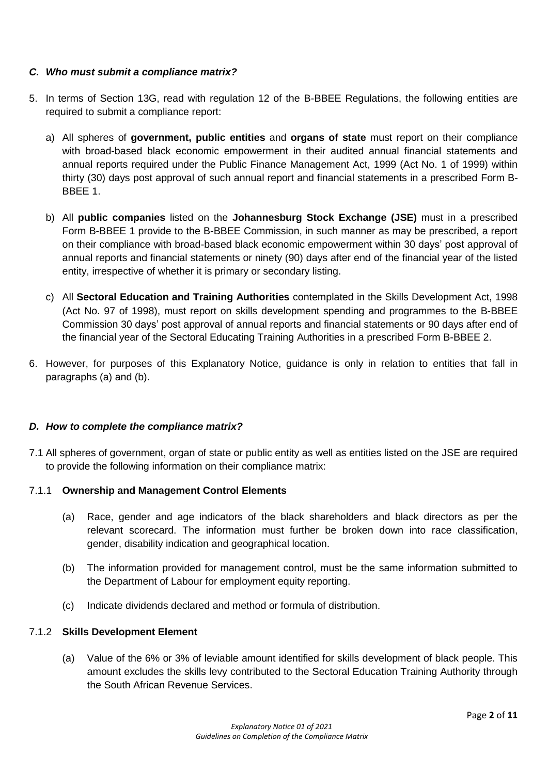## *C. Who must submit a compliance matrix?*

- 5. In terms of Section 13G, read with regulation 12 of the B-BBEE Regulations, the following entities are required to submit a compliance report:
	- a) All spheres of **government, public entities** and **organs of state** must report on their compliance with broad-based black economic empowerment in their audited annual financial statements and annual reports required under the Public Finance Management Act, 1999 (Act No. 1 of 1999) within thirty (30) days post approval of such annual report and financial statements in a prescribed Form B-BBEE 1.
	- b) All **public companies** listed on the **Johannesburg Stock Exchange (JSE)** must in a prescribed Form B-BBEE 1 provide to the B-BBEE Commission, in such manner as may be prescribed, a report on their compliance with broad-based black economic empowerment within 30 days' post approval of annual reports and financial statements or ninety (90) days after end of the financial year of the listed entity, irrespective of whether it is primary or secondary listing.
	- c) All **Sectoral Education and Training Authorities** contemplated in the Skills Development Act, 1998 (Act No. 97 of 1998), must report on skills development spending and programmes to the B-BBEE Commission 30 days' post approval of annual reports and financial statements or 90 days after end of the financial year of the Sectoral Educating Training Authorities in a prescribed Form B-BBEE 2.
- 6. However, for purposes of this Explanatory Notice, guidance is only in relation to entities that fall in paragraphs (a) and (b).

### *D. How to complete the compliance matrix?*

7.1 All spheres of government, organ of state or public entity as well as entities listed on the JSE are required to provide the following information on their compliance matrix:

### 7.1.1 **Ownership and Management Control Elements**

- (a) Race, gender and age indicators of the black shareholders and black directors as per the relevant scorecard. The information must further be broken down into race classification, gender, disability indication and geographical location.
- (b) The information provided for management control, must be the same information submitted to the Department of Labour for employment equity reporting.
- (c) Indicate dividends declared and method or formula of distribution.

### 7.1.2 **Skills Development Element**

(a) Value of the 6% or 3% of leviable amount identified for skills development of black people. This amount excludes the skills levy contributed to the Sectoral Education Training Authority through the South African Revenue Services.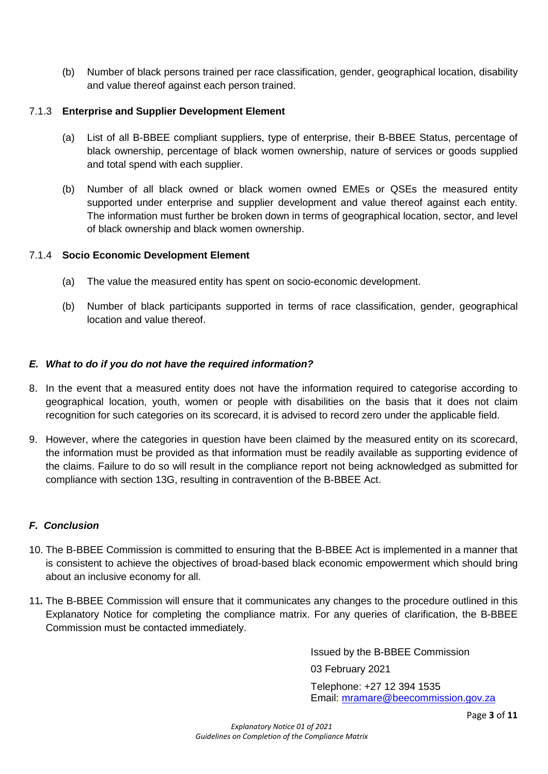(b) Number of black persons trained per race classification, gender, geographical location, disability and value thereof against each person trained.

## 7.1.3 **Enterprise and Supplier Development Element**

- (a) List of all B-BBEE compliant suppliers, type of enterprise, their B-BBEE Status, percentage of black ownership, percentage of black women ownership, nature of services or goods supplied and total spend with each supplier.
- (b) Number of all black owned or black women owned EMEs or QSEs the measured entity supported under enterprise and supplier development and value thereof against each entity. The information must further be broken down in terms of geographical location, sector, and level of black ownership and black women ownership.

### 7.1.4 **Socio Economic Development Element**

- (a) The value the measured entity has spent on socio-economic development.
- (b) Number of black participants supported in terms of race classification, gender, geographical location and value thereof.

## *E. What to do if you do not have the required information?*

- 8. In the event that a measured entity does not have the information required to categorise according to geographical location, youth, women or people with disabilities on the basis that it does not claim recognition for such categories on its scorecard, it is advised to record zero under the applicable field.
- 9. However, where the categories in question have been claimed by the measured entity on its scorecard, the information must be provided as that information must be readily available as supporting evidence of the claims. Failure to do so will result in the compliance report not being acknowledged as submitted for compliance with section 13G, resulting in contravention of the B-BBEE Act.

## *F. Conclusion*

- 10. The B-BBEE Commission is committed to ensuring that the B-BBEE Act is implemented in a manner that is consistent to achieve the objectives of broad-based black economic empowerment which should bring about an inclusive economy for all.
- 11*.* The B-BBEE Commission will ensure that it communicates any changes to the procedure outlined in this Explanatory Notice for completing the compliance matrix. For any queries of clarification, the B-BBEE Commission must be contacted immediately.

Issued by the B-BBEE Commission

03 February 2021

Telephone: +27 12 394 1535 Email: [mramare@beecommission.gov.za](mailto:mramare@beecommission.gov.za)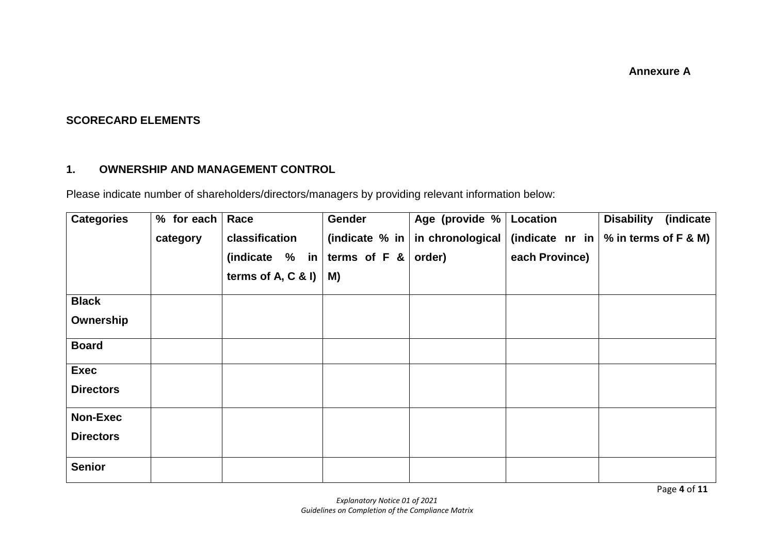**Annexure A**

# **SCORECARD ELEMENTS**

# **1. OWNERSHIP AND MANAGEMENT CONTROL**

Please indicate number of shareholders/directors/managers by providing relevant information below:

| <b>Categories</b> | $%$ for each | Race                              | Gender               | Age (provide % Location |                | (indicate<br><b>Disability</b>                                      |
|-------------------|--------------|-----------------------------------|----------------------|-------------------------|----------------|---------------------------------------------------------------------|
|                   | category     | classification                    | (indicate $%$ in $ $ |                         |                | in chronological (indicate nr in $\frac{1}{2}$ % in terms of F & M) |
|                   |              | (indicate % in   terms of F & $ $ |                      | order)                  | each Province) |                                                                     |
|                   |              | terms of $A, C, R$ I)             | M)                   |                         |                |                                                                     |
| <b>Black</b>      |              |                                   |                      |                         |                |                                                                     |
| Ownership         |              |                                   |                      |                         |                |                                                                     |
| <b>Board</b>      |              |                                   |                      |                         |                |                                                                     |
| <b>Exec</b>       |              |                                   |                      |                         |                |                                                                     |
| <b>Directors</b>  |              |                                   |                      |                         |                |                                                                     |
| <b>Non-Exec</b>   |              |                                   |                      |                         |                |                                                                     |
| <b>Directors</b>  |              |                                   |                      |                         |                |                                                                     |
| <b>Senior</b>     |              |                                   |                      |                         |                |                                                                     |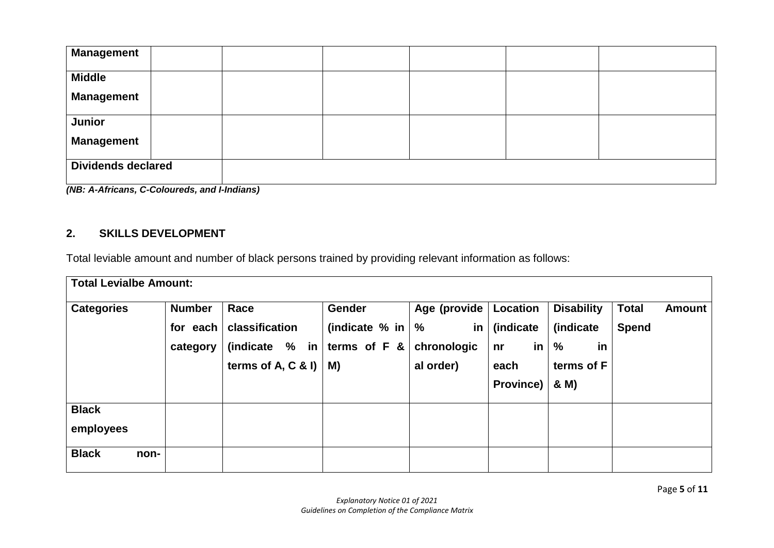| <b>Management</b>                                    |  |  |  |  |  |
|------------------------------------------------------|--|--|--|--|--|
| <b>Middle</b>                                        |  |  |  |  |  |
| <b>Management</b>                                    |  |  |  |  |  |
| <b>Junior</b>                                        |  |  |  |  |  |
| <b>Management</b>                                    |  |  |  |  |  |
| <b>Dividends declared</b><br>$(AID \cdot A \cdot A)$ |  |  |  |  |  |

*(NB: A-Africans, C-Coloureds, and I-Indians)*

# **2. SKILLS DEVELOPMENT**

Total leviable amount and number of black persons trained by providing relevant information as follows:

| <b>Total Levialbe Amount:</b> |      |                                       |                                                                  |                                                                         |                                                  |                                                        |                                                                 |                              |               |
|-------------------------------|------|---------------------------------------|------------------------------------------------------------------|-------------------------------------------------------------------------|--------------------------------------------------|--------------------------------------------------------|-----------------------------------------------------------------|------------------------------|---------------|
| <b>Categories</b>             |      | <b>Number</b><br>for each<br>category | Race<br>classification<br>(indicate % in<br>terms of $A, C &   $ | <b>Gender</b><br>(indicate $%$ in $\frac{1}{6}$<br>terms of $F$ &<br>M) | Age (provide  <br>in<br>chronologic<br>al order) | Location<br>(indicate<br>in<br>nr<br>each<br>Province) | <b>Disability</b><br>(indicate<br>%<br>in<br>terms of F<br>& M) | <b>Total</b><br><b>Spend</b> | <b>Amount</b> |
| <b>Black</b><br>employees     |      |                                       |                                                                  |                                                                         |                                                  |                                                        |                                                                 |                              |               |
| <b>Black</b>                  | non- |                                       |                                                                  |                                                                         |                                                  |                                                        |                                                                 |                              |               |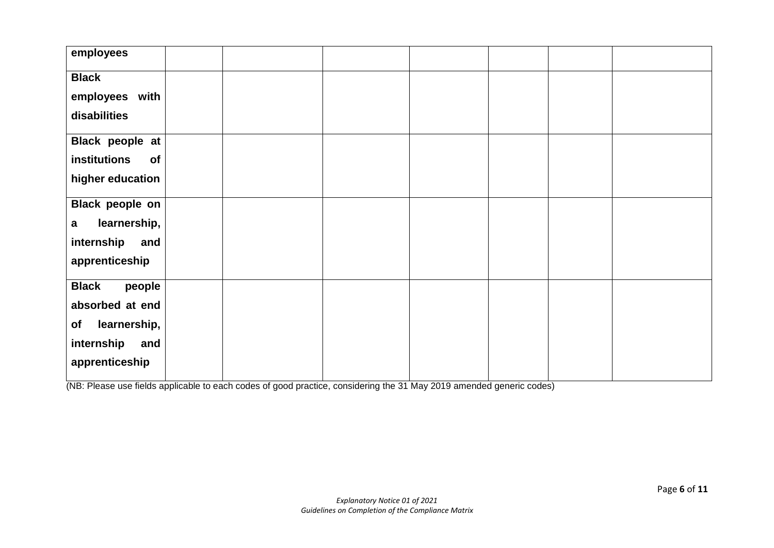| employees                    |  |  |  |  |
|------------------------------|--|--|--|--|
| <b>Black</b>                 |  |  |  |  |
| employees with               |  |  |  |  |
|                              |  |  |  |  |
| disabilities                 |  |  |  |  |
| Black people at              |  |  |  |  |
| institutions<br>of           |  |  |  |  |
| higher education             |  |  |  |  |
|                              |  |  |  |  |
| Black people on              |  |  |  |  |
| learnership,<br>$\mathbf{a}$ |  |  |  |  |
| internship<br>and            |  |  |  |  |
| apprenticeship               |  |  |  |  |
|                              |  |  |  |  |
| <b>Black</b><br>people       |  |  |  |  |
| absorbed at end              |  |  |  |  |
| learnership,<br>of           |  |  |  |  |
| internship<br>and            |  |  |  |  |
| apprenticeship               |  |  |  |  |
|                              |  |  |  |  |

(NB: Please use fields applicable to each codes of good practice, considering the 31 May 2019 amended generic codes)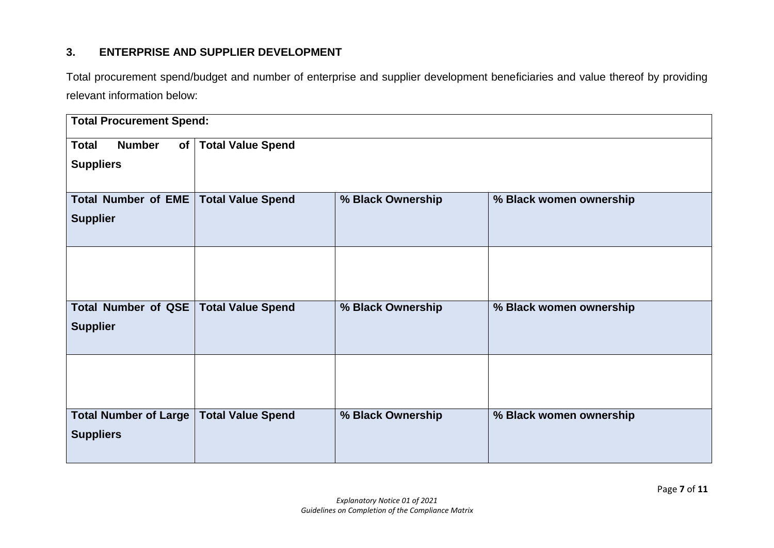# **3. ENTERPRISE AND SUPPLIER DEVELOPMENT**

Total procurement spend/budget and number of enterprise and supplier development beneficiaries and value thereof by providing relevant information below:

| <b>Total Procurement Spend:</b>     |                          |                   |                         |  |  |  |
|-------------------------------------|--------------------------|-------------------|-------------------------|--|--|--|
| <b>Total</b><br><b>Number</b><br>of | <b>Total Value Spend</b> |                   |                         |  |  |  |
| <b>Suppliers</b>                    |                          |                   |                         |  |  |  |
| Total Number of EME                 | <b>Total Value Spend</b> | % Black Ownership | % Black women ownership |  |  |  |
| <b>Supplier</b>                     |                          |                   |                         |  |  |  |
|                                     |                          |                   |                         |  |  |  |
|                                     |                          |                   |                         |  |  |  |
| Total Number of QSE                 | <b>Total Value Spend</b> | % Black Ownership | % Black women ownership |  |  |  |
| <b>Supplier</b>                     |                          |                   |                         |  |  |  |
|                                     |                          |                   |                         |  |  |  |
| <b>Total Number of Large</b>        | <b>Total Value Spend</b> | % Black Ownership | % Black women ownership |  |  |  |
| <b>Suppliers</b>                    |                          |                   |                         |  |  |  |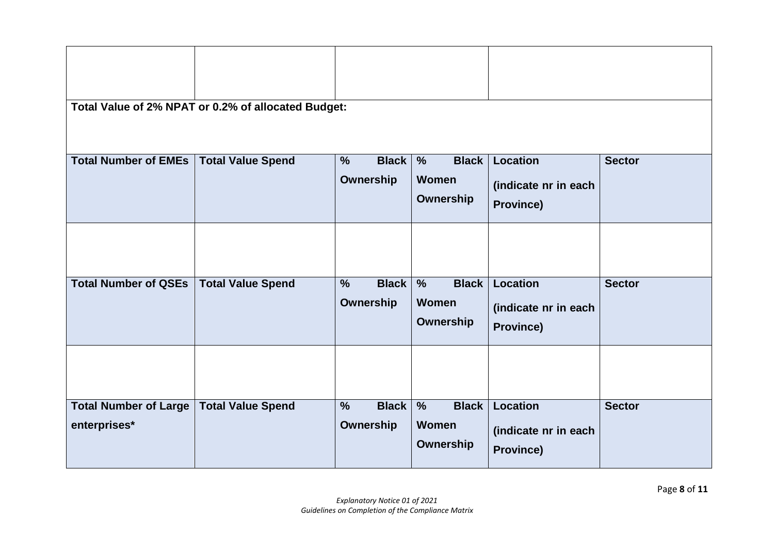| Total Value of 2% NPAT or 0.2% of allocated Budget: |                          |                                            |                                               |                                          |               |  |
|-----------------------------------------------------|--------------------------|--------------------------------------------|-----------------------------------------------|------------------------------------------|---------------|--|
| <b>Total Number of EMEs</b>                         | <b>Total Value Spend</b> | <b>Black</b><br>$\frac{9}{6}$<br>Ownership | $\frac{0}{0}$<br><b>Black</b><br><b>Women</b> | <b>Location</b>                          | <b>Sector</b> |  |
|                                                     |                          |                                            | Ownership                                     | (indicate nr in each<br><b>Province)</b> |               |  |
|                                                     |                          |                                            |                                               |                                          |               |  |
| <b>Total Number of QSEs</b>                         | <b>Total Value Spend</b> | <b>Black</b><br>$\frac{9}{6}$              | <b>Black</b><br>$\frac{9}{6}$<br><b>Women</b> | <b>Location</b>                          | <b>Sector</b> |  |
|                                                     |                          | Ownership                                  | Ownership                                     | (indicate nr in each                     |               |  |
|                                                     |                          |                                            |                                               | <b>Province)</b>                         |               |  |
|                                                     |                          |                                            |                                               |                                          |               |  |
| <b>Total Number of Large</b>                        | <b>Total Value Spend</b> | $\frac{0}{0}$<br><b>Black</b>              | $\frac{9}{6}$<br><b>Black</b>                 | <b>Location</b>                          | <b>Sector</b> |  |
| enterprises*                                        |                          | <b>Ownership</b>                           | <b>Women</b><br>Ownership                     | (indicate nr in each<br><b>Province)</b> |               |  |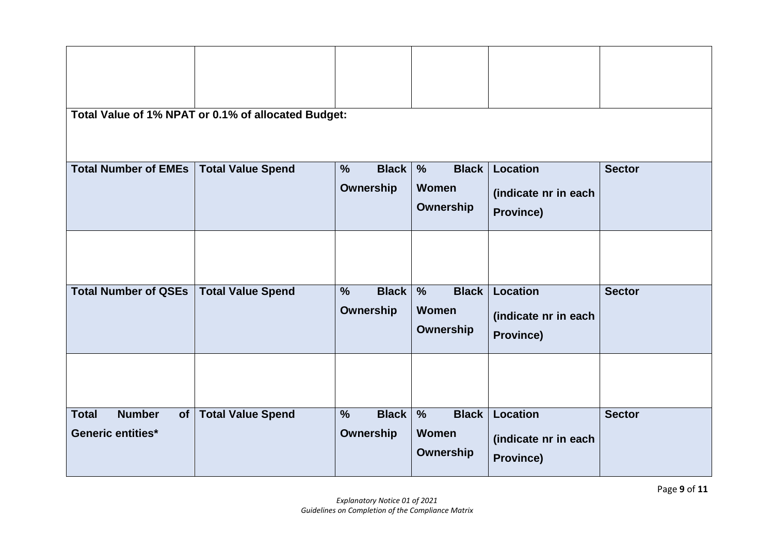| Total Value of 1% NPAT or 0.1% of allocated Budget: |                          |                               |                                               |                      |               |  |
|-----------------------------------------------------|--------------------------|-------------------------------|-----------------------------------------------|----------------------|---------------|--|
| <b>Total Number of EMEs</b>                         | <b>Total Value Spend</b> | <b>Black</b><br>$\frac{0}{0}$ | $\frac{0}{0}$<br><b>Black</b><br><b>Women</b> | Location             | <b>Sector</b> |  |
|                                                     |                          | <b>Ownership</b>              |                                               | (indicate nr in each |               |  |
|                                                     |                          |                               | Ownership                                     | Province)            |               |  |
|                                                     |                          |                               |                                               |                      |               |  |
| <b>Total Number of QSEs</b>                         | <b>Total Value Spend</b> | <b>Black</b><br>$\frac{0}{0}$ | <b>Black</b><br>$\frac{1}{\sqrt{2}}$          | <b>Location</b>      | <b>Sector</b> |  |
|                                                     |                          | Ownership                     | <b>Women</b>                                  | (indicate nr in each |               |  |
|                                                     |                          |                               | Ownership                                     | Province)            |               |  |
|                                                     |                          |                               |                                               |                      |               |  |
| <b>Number</b><br><b>Total</b><br>of <sub>l</sub>    | <b>Total Value Spend</b> | <b>Black</b><br>$\frac{0}{0}$ | $\frac{9}{6}$<br><b>Black</b>                 | Location             | <b>Sector</b> |  |
| <b>Generic entities*</b>                            |                          | <b>Ownership</b>              | <b>Women</b>                                  | (indicate nr in each |               |  |
|                                                     |                          |                               | Ownership                                     | Province)            |               |  |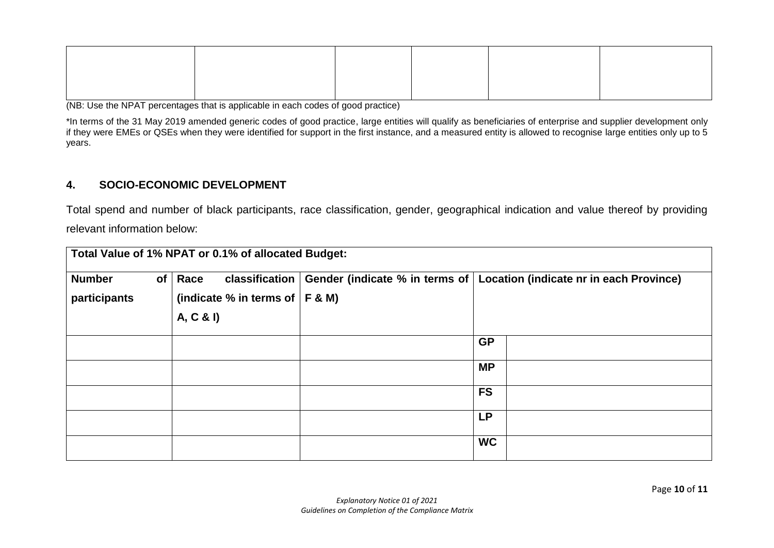(NB: Use the NPAT percentages that is applicable in each codes of good practice)

\*In terms of the 31 May 2019 amended generic codes of good practice, large entities will qualify as beneficiaries of enterprise and supplier development only if they were EMEs or QSEs when they were identified for support in the first instance, and a measured entity is allowed to recognise large entities only up to 5 years.

# **4. SOCIO-ECONOMIC DEVELOPMENT**

Total spend and number of black participants, race classification, gender, geographical indication and value thereof by providing relevant information below:

| Total Value of 1% NPAT or 0.1% of allocated Budget: |                                                                              |  |                                                                          |  |  |  |
|-----------------------------------------------------|------------------------------------------------------------------------------|--|--------------------------------------------------------------------------|--|--|--|
| <b>Number</b><br>of <sub>l</sub><br>participants    | Race<br>classification  <br>(indicate % in terms of $ F \& M$ )<br>A, C & I) |  | Gender (indicate % in terms of   Location (indicate nr in each Province) |  |  |  |
|                                                     |                                                                              |  | <b>GP</b>                                                                |  |  |  |
|                                                     |                                                                              |  | <b>MP</b>                                                                |  |  |  |
|                                                     |                                                                              |  | <b>FS</b>                                                                |  |  |  |
|                                                     |                                                                              |  | <b>LP</b>                                                                |  |  |  |
|                                                     |                                                                              |  | <b>WC</b>                                                                |  |  |  |